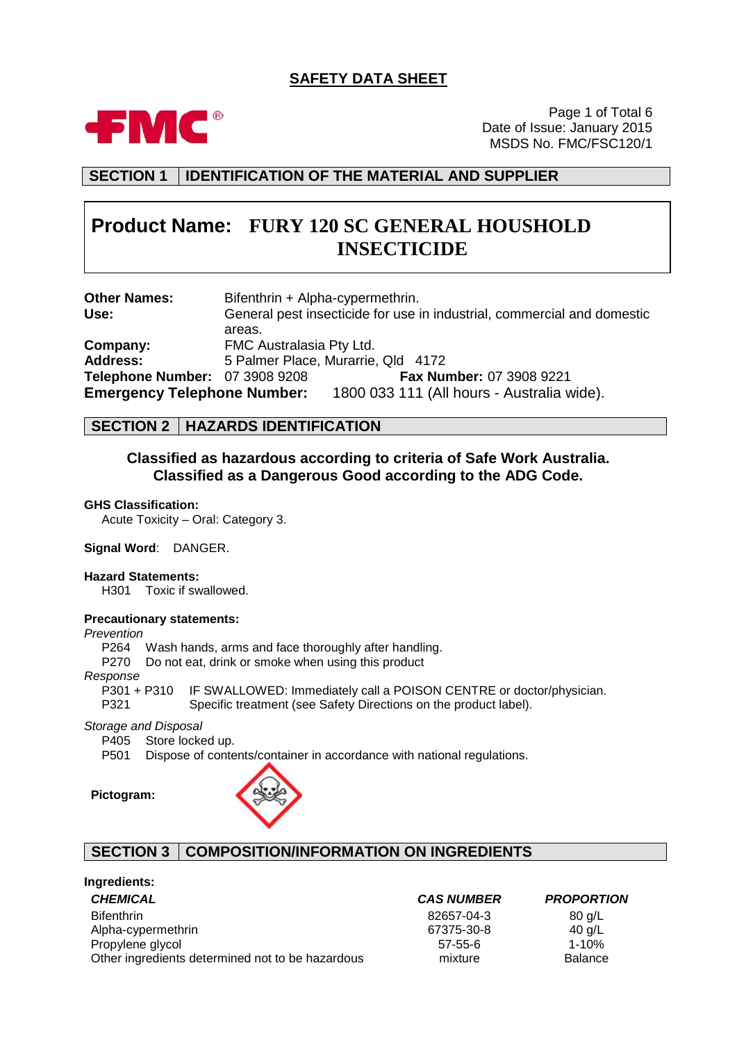# **SAFETY DATA SHEET**



Page 1 of Total 6 Date of Issue: January 2015 MSDS No. FMC/FSC120/1

**SECTION 1 IDENTIFICATION OF THE MATERIAL AND SUPPLIER**

# **Product Name: FURY 120 SC GENERAL HOUSHOLD INSECTICIDE**

| <b>Other Names:</b>                | Bifenthrin + Alpha-cypermethrin.                                        |
|------------------------------------|-------------------------------------------------------------------------|
| Use:                               | General pest insecticide for use in industrial, commercial and domestic |
|                                    | areas.                                                                  |
| Company:                           | FMC Australasia Pty Ltd.                                                |
| <b>Address:</b>                    | 5 Palmer Place, Murarrie, Qld 4172                                      |
| Telephone Number: 07 3908 9208     | Fax Number: 07 3908 9221                                                |
| <b>Emergency Telephone Number:</b> | 1800 033 111 (All hours - Australia wide).                              |

# **SECTION 2 HAZARDS IDENTIFICATION**

# **Classified as hazardous according to criteria of Safe Work Australia. Classified as a Dangerous Good according to the ADG Code.**

#### **GHS Classification:**

Acute Toxicity – Oral: Category 3.

#### **Signal Word**: DANGER.

#### **Hazard Statements:**

H301 Toxic if swallowed.

#### **Precautionary statements:**

### *Prevention*

P264 Wash hands, arms and face thoroughly after handling.

P270 Do not eat, drink or smoke when using this product

*Response* IF SWALLOWED: Immediately call a POISON CENTRE or doctor/physician.

P321 Specific treatment (see Safety Directions on the product label).

*Storage and Disposal*

P405 Store locked up.

P501 Dispose of contents/container in accordance with national regulations.

**Pictogram:**



# **SECTION 3 COMPOSITION/INFORMATION ON INGREDIENTS**

| <b>CAS NUMBER</b> | <b>PROPORT</b> |
|-------------------|----------------|
| 82657-04-3        | 80 g/L         |
| 67375-30-8        | 40 g/L         |
| $57 - 55 - 6$     | 1-10%          |
| mixture           | <b>Balance</b> |
|                   |                |

*CHEMICAL CAS NUMBER PROPORTION*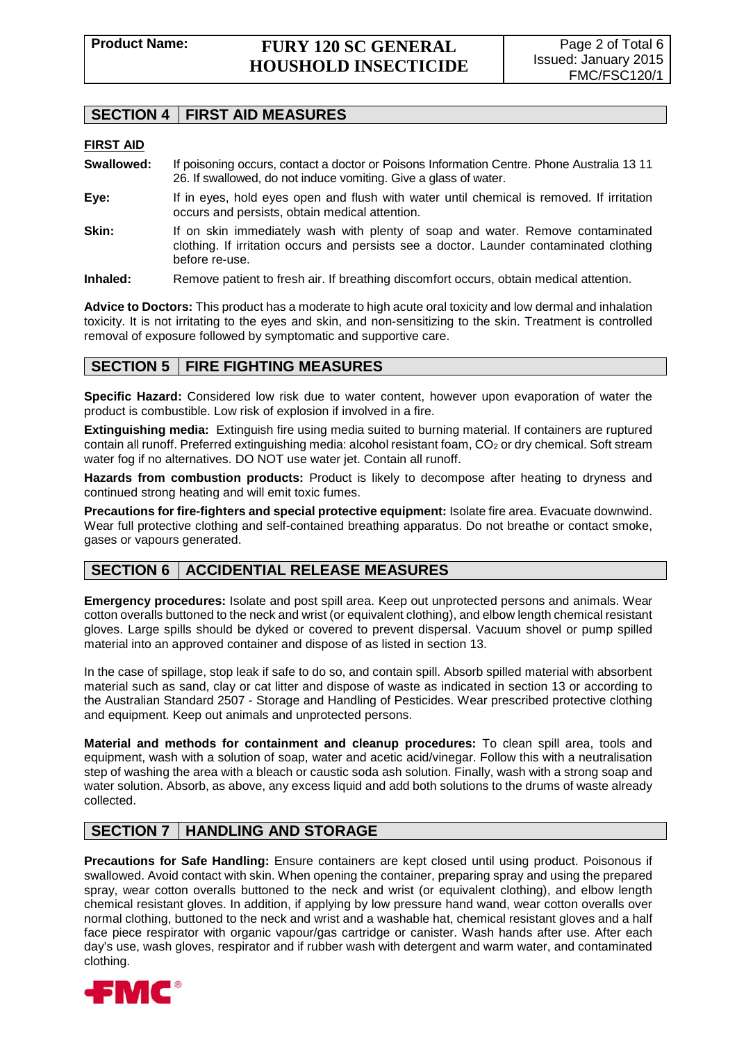# **SECTION 4 FIRST AID MEASURES**

### **FIRST AID**

- **Swallowed:** If poisoning occurs, contact a doctor or Poisons Information Centre. Phone Australia 13 11 26. If swallowed, do not induce vomiting. Give a glass of water.
- **Eye:** If in eyes, hold eyes open and flush with water until chemical is removed. If irritation occurs and persists, obtain medical attention.
- **Skin:** If on skin immediately wash with plenty of soap and water. Remove contaminated clothing. If irritation occurs and persists see a doctor. Launder contaminated clothing before re-use.
- **Inhaled:** Remove patient to fresh air. If breathing discomfort occurs, obtain medical attention.

**Advice to Doctors:** This product has a moderate to high acute oral toxicity and low dermal and inhalation toxicity. It is not irritating to the eyes and skin, and non-sensitizing to the skin. Treatment is controlled removal of exposure followed by symptomatic and supportive care.

# **SECTION 5 FIRE FIGHTING MEASURES**

**Specific Hazard:** Considered low risk due to water content, however upon evaporation of water the product is combustible. Low risk of explosion if involved in a fire.

**Extinguishing media:** Extinguish fire using media suited to burning material. If containers are ruptured contain all runoff. Preferred extinguishing media: alcohol resistant foam, CO<sub>2</sub> or dry chemical. Soft stream water fog if no alternatives. DO NOT use water jet. Contain all runoff.

**Hazards from combustion products:** Product is likely to decompose after heating to dryness and continued strong heating and will emit toxic fumes.

**Precautions for fire-fighters and special protective equipment:** Isolate fire area. Evacuate downwind. Wear full protective clothing and self-contained breathing apparatus. Do not breathe or contact smoke, gases or vapours generated.

# **SECTION 6 ACCIDENTIAL RELEASE MEASURES**

**Emergency procedures:** Isolate and post spill area. Keep out unprotected persons and animals. Wear cotton overalls buttoned to the neck and wrist (or equivalent clothing), and elbow length chemical resistant gloves. Large spills should be dyked or covered to prevent dispersal. Vacuum shovel or pump spilled material into an approved container and dispose of as listed in section 13.

In the case of spillage, stop leak if safe to do so, and contain spill. Absorb spilled material with absorbent material such as sand, clay or cat litter and dispose of waste as indicated in section 13 or according to the Australian Standard 2507 - Storage and Handling of Pesticides. Wear prescribed protective clothing and equipment. Keep out animals and unprotected persons.

**Material and methods for containment and cleanup procedures:** To clean spill area, tools and equipment, wash with a solution of soap, water and acetic acid/vinegar. Follow this with a neutralisation step of washing the area with a bleach or caustic soda ash solution. Finally, wash with a strong soap and water solution. Absorb, as above, any excess liquid and add both solutions to the drums of waste already collected.

# **SECTION 7 HANDLING AND STORAGE**

**Precautions for Safe Handling:** Ensure containers are kept closed until using product. Poisonous if swallowed. Avoid contact with skin. When opening the container, preparing spray and using the prepared spray, wear cotton overalls buttoned to the neck and wrist (or equivalent clothing), and elbow length chemical resistant gloves. In addition, if applying by low pressure hand wand, wear cotton overalls over normal clothing, buttoned to the neck and wrist and a washable hat, chemical resistant gloves and a half face piece respirator with organic vapour/gas cartridge or canister. Wash hands after use. After each day's use, wash gloves, respirator and if rubber wash with detergent and warm water, and contaminated clothing.

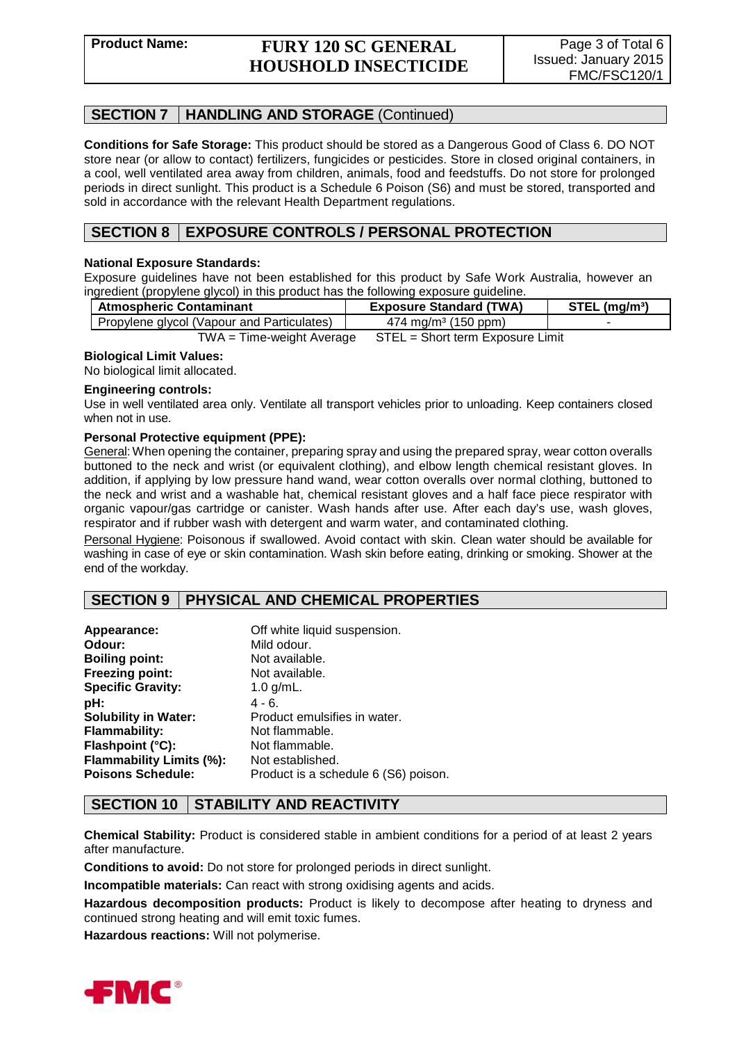# **Product Name: FURY 120 SC GENERAL HOUSHOLD INSECTICIDE**

# **SECTION 7 HANDLING AND STORAGE** (Continued)

**Conditions for Safe Storage:** This product should be stored as a Dangerous Good of Class 6. DO NOT store near (or allow to contact) fertilizers, fungicides or pesticides. Store in closed original containers, in a cool, well ventilated area away from children, animals, food and feedstuffs. Do not store for prolonged periods in direct sunlight. This product is a Schedule 6 Poison (S6) and must be stored, transported and sold in accordance with the relevant Health Department regulations.

# **SECTION 8 EXPOSURE CONTROLS / PERSONAL PROTECTION**

### **National Exposure Standards:**

Exposure guidelines have not been established for this product by Safe Work Australia, however an ingredient (propylene glycol) in this product has the following exposure guideline.

| <b>Atmospheric Contaminant</b>             | <b>Exposure Standard (TWA)</b>  | STEL (mg/m <sup>3)</sup> |
|--------------------------------------------|---------------------------------|--------------------------|
| Propylene glycol (Vapour and Particulates) | 474 mg/m <sup>3</sup> (150 ppm) |                          |
| $\mathbf{T}$ $\mathbf{M}$                  | $\cap$ Tru $\cap$               |                          |

TWA = Time-weight Average STEL = Short term Exposure Limit

#### **Biological Limit Values:**

No biological limit allocated.

#### **Engineering controls:**

Use in well ventilated area only. Ventilate all transport vehicles prior to unloading. Keep containers closed when not in use.

#### **Personal Protective equipment (PPE):**

General: When opening the container, preparing spray and using the prepared spray, wear cotton overalls buttoned to the neck and wrist (or equivalent clothing), and elbow length chemical resistant gloves. In addition, if applying by low pressure hand wand, wear cotton overalls over normal clothing, buttoned to the neck and wrist and a washable hat, chemical resistant gloves and a half face piece respirator with organic vapour/gas cartridge or canister. Wash hands after use. After each day's use, wash gloves, respirator and if rubber wash with detergent and warm water, and contaminated clothing.

Personal Hygiene: Poisonous if swallowed. Avoid contact with skin. Clean water should be available for washing in case of eye or skin contamination. Wash skin before eating, drinking or smoking. Shower at the end of the workday.

# **SECTION 9 PHYSICAL AND CHEMICAL PROPERTIES**

| Appearance:                 | Off white liquid suspension.         |
|-----------------------------|--------------------------------------|
| Odour:                      | Mild odour.                          |
| <b>Boiling point:</b>       | Not available.                       |
| <b>Freezing point:</b>      | Not available.                       |
| <b>Specific Gravity:</b>    | 1.0 $g/mL$ .                         |
| pH:                         | $4 - 6.$                             |
| <b>Solubility in Water:</b> | Product emulsifies in water.         |
| Flammability:               | Not flammable.                       |
| Flashpoint (°C):            | Not flammable.                       |
| Flammability Limits (%):    | Not established.                     |
| <b>Poisons Schedule:</b>    | Product is a schedule 6 (S6) poison. |

# **SECTION 10 STABILITY AND REACTIVITY**

**Chemical Stability:** Product is considered stable in ambient conditions for a period of at least 2 years after manufacture.

**Conditions to avoid:** Do not store for prolonged periods in direct sunlight.

**Incompatible materials:** Can react with strong oxidising agents and acids.

**Hazardous decomposition products:** Product is likely to decompose after heating to dryness and continued strong heating and will emit toxic fumes.

**Hazardous reactions:** Will not polymerise.

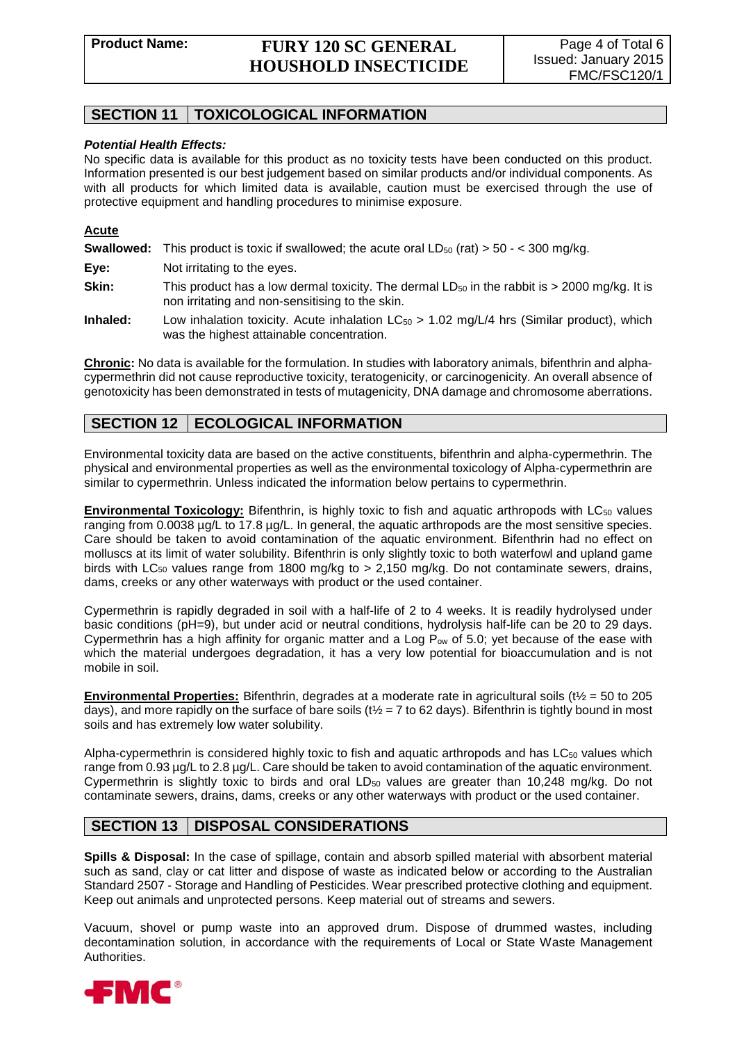# **SECTION 11 TOXICOLOGICAL INFORMATION**

#### *Potential Health Effects:*

No specific data is available for this product as no toxicity tests have been conducted on this product. Information presented is our best judgement based on similar products and/or individual components. As with all products for which limited data is available, caution must be exercised through the use of protective equipment and handling procedures to minimise exposure.

#### **Acute**

**Swallowed:** This product is toxic if swallowed; the acute oral  $LD_{50}$  (rat)  $> 50 - < 300$  mg/kg.

- **Eye:** Not irritating to the eyes.
- **Skin:** This product has a low dermal toxicity. The dermal  $LD_{50}$  in the rabbit is  $>$  2000 mg/kg. It is non irritating and non-sensitising to the skin.
- **Inhaled:** Low inhalation toxicity. Acute inhalation LC<sub>50</sub> > 1.02 mg/L/4 hrs (Similar product), which was the highest attainable concentration.

**Chronic:** No data is available for the formulation. In studies with laboratory animals, bifenthrin and alphacypermethrin did not cause reproductive toxicity, teratogenicity, or carcinogenicity. An overall absence of genotoxicity has been demonstrated in tests of mutagenicity, DNA damage and chromosome aberrations.

# **SECTION 12 ECOLOGICAL INFORMATION**

Environmental toxicity data are based on the active constituents, bifenthrin and alpha-cypermethrin. The physical and environmental properties as well as the environmental toxicology of Alpha-cypermethrin are similar to cypermethrin. Unless indicated the information below pertains to cypermethrin.

**Environmental Toxicology:** Bifenthrin, is highly toxic to fish and aquatic arthropods with LC<sub>50</sub> values ranging from 0.0038 µg/L to 17.8 µg/L. In general, the aquatic arthropods are the most sensitive species. Care should be taken to avoid contamination of the aquatic environment. Bifenthrin had no effect on molluscs at its limit of water solubility. Bifenthrin is only slightly toxic to both waterfowl and upland game birds with  $LC_{50}$  values range from 1800 mg/kg to > 2,150 mg/kg. Do not contaminate sewers, drains, dams, creeks or any other waterways with product or the used container.

Cypermethrin is rapidly degraded in soil with a half-life of 2 to 4 weeks. It is readily hydrolysed under basic conditions (pH=9), but under acid or neutral conditions, hydrolysis half-life can be 20 to 29 days. Cypermethrin has a high affinity for organic matter and a Log  $P_{ow}$  of 5.0; yet because of the ease with which the material undergoes degradation, it has a very low potential for bioaccumulation and is not mobile in soil.

**Environmental Properties:** Bifenthrin, degrades at a moderate rate in agricultural soils (t½ = 50 to 205 days), and more rapidly on the surface of bare soils ( $t\frac{1}{2}$  = 7 to 62 days). Bifenthrin is tightly bound in most soils and has extremely low water solubility.

Alpha-cypermethrin is considered highly toxic to fish and aquatic arthropods and has LC<sub>50</sub> values which range from 0.93 µg/L to 2.8 µg/L. Care should be taken to avoid contamination of the aquatic environment. Cypermethrin is slightly toxic to birds and oral  $LD_{50}$  values are greater than 10,248 mg/kg. Do not contaminate sewers, drains, dams, creeks or any other waterways with product or the used container.

# **SECTION 13 DISPOSAL CONSIDERATIONS**

**Spills & Disposal:** In the case of spillage, contain and absorb spilled material with absorbent material such as sand, clay or cat litter and dispose of waste as indicated below or according to the Australian Standard 2507 - Storage and Handling of Pesticides. Wear prescribed protective clothing and equipment. Keep out animals and unprotected persons. Keep material out of streams and sewers.

Vacuum, shovel or pump waste into an approved drum. Dispose of drummed wastes, including decontamination solution, in accordance with the requirements of Local or State Waste Management Authorities.

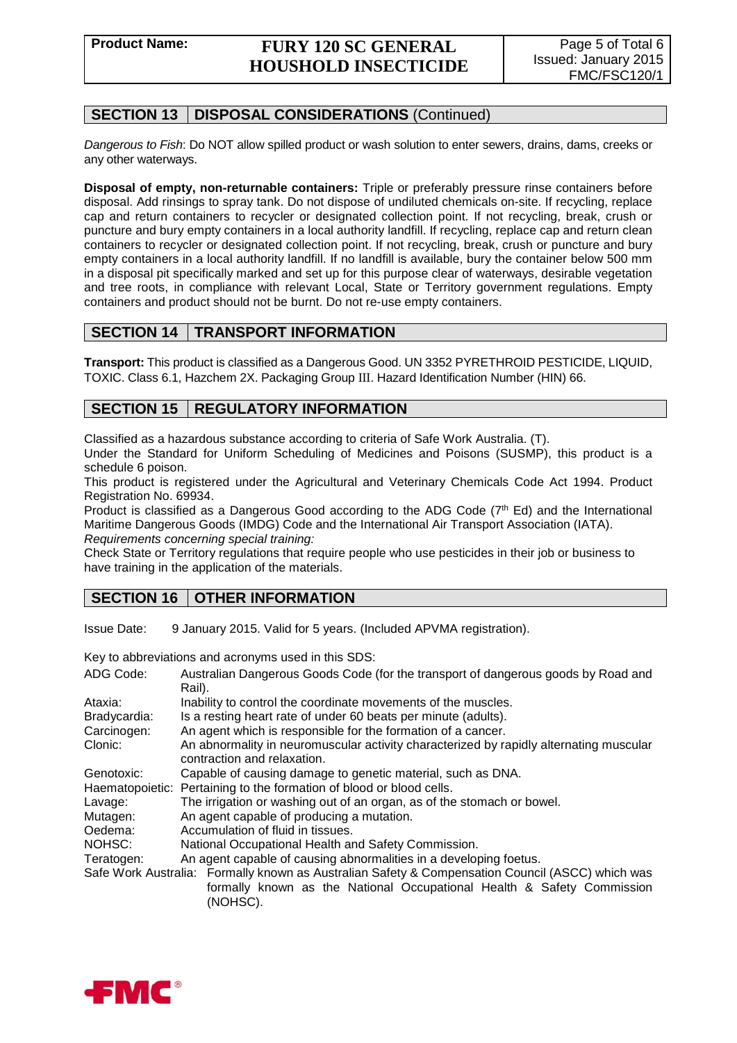# **Product Name: FURY 120 SC GENERAL HOUSHOLD INSECTICIDE**

# **SECTION 13 DISPOSAL CONSIDERATIONS** (Continued)

*Dangerous to Fish*: Do NOT allow spilled product or wash solution to enter sewers, drains, dams, creeks or any other waterways.

**Disposal of empty, non-returnable containers:** Triple or preferably pressure rinse containers before disposal. Add rinsings to spray tank. Do not dispose of undiluted chemicals on-site. If recycling, replace cap and return containers to recycler or designated collection point. If not recycling, break, crush or puncture and bury empty containers in a local authority landfill. If recycling, replace cap and return clean containers to recycler or designated collection point. If not recycling, break, crush or puncture and bury empty containers in a local authority landfill. If no landfill is available, bury the container below 500 mm in a disposal pit specifically marked and set up for this purpose clear of waterways, desirable vegetation and tree roots, in compliance with relevant Local, State or Territory government regulations. Empty containers and product should not be burnt. Do not re-use empty containers.

# **SECTION 14 TRANSPORT INFORMATION**

**Transport:** This product is classified as a Dangerous Good. UN 3352 PYRETHROID PESTICIDE, LIQUID, TOXIC. Class 6.1, Hazchem 2X. Packaging Group III. Hazard Identification Number (HIN) 66.

# **SECTION 15 REGULATORY INFORMATION**

Classified as a hazardous substance according to criteria of Safe Work Australia. (T).

Under the Standard for Uniform Scheduling of Medicines and Poisons (SUSMP), this product is a schedule 6 poison.

This product is registered under the Agricultural and Veterinary Chemicals Code Act 1994. Product Registration No. 69934.

Product is classified as a Dangerous Good according to the ADG Code (7th Ed) and the International Maritime Dangerous Goods (IMDG) Code and the International Air Transport Association (IATA). *Requirements concerning special training:*

Check State or Territory regulations that require people who use pesticides in their job or business to have training in the application of the materials.

# **SECTION 16 | OTHER INFORMATION**

Issue Date: 9 January 2015. Valid for 5 years. (Included APVMA registration).

Key to abbreviations and acronyms used in this SDS:

| ADG Code:       | Australian Dangerous Goods Code (for the transport of dangerous goods by Road and                                                                                                      |
|-----------------|----------------------------------------------------------------------------------------------------------------------------------------------------------------------------------------|
|                 | Rail).                                                                                                                                                                                 |
| Ataxia:         | Inability to control the coordinate movements of the muscles.                                                                                                                          |
| Bradycardia:    | Is a resting heart rate of under 60 beats per minute (adults).                                                                                                                         |
| Carcinogen:     | An agent which is responsible for the formation of a cancer.                                                                                                                           |
| Clonic:         | An abnormality in neuromuscular activity characterized by rapidly alternating muscular<br>contraction and relaxation.                                                                  |
| Genotoxic:      | Capable of causing damage to genetic material, such as DNA.                                                                                                                            |
| Haematopoietic: | Pertaining to the formation of blood or blood cells.                                                                                                                                   |
| Lavage:         | The irrigation or washing out of an organ, as of the stomach or bowel.                                                                                                                 |
| Mutagen:        | An agent capable of producing a mutation.                                                                                                                                              |
| Oedema:         | Accumulation of fluid in tissues.                                                                                                                                                      |
| NOHSC:          | National Occupational Health and Safety Commission.                                                                                                                                    |
| Teratogen:      | An agent capable of causing abnormalities in a developing foetus.                                                                                                                      |
|                 | Safe Work Australia: Formally known as Australian Safety & Compensation Council (ASCC) which was<br>formally known as the National Occupational Health & Safety Commission<br>(NOHSC). |